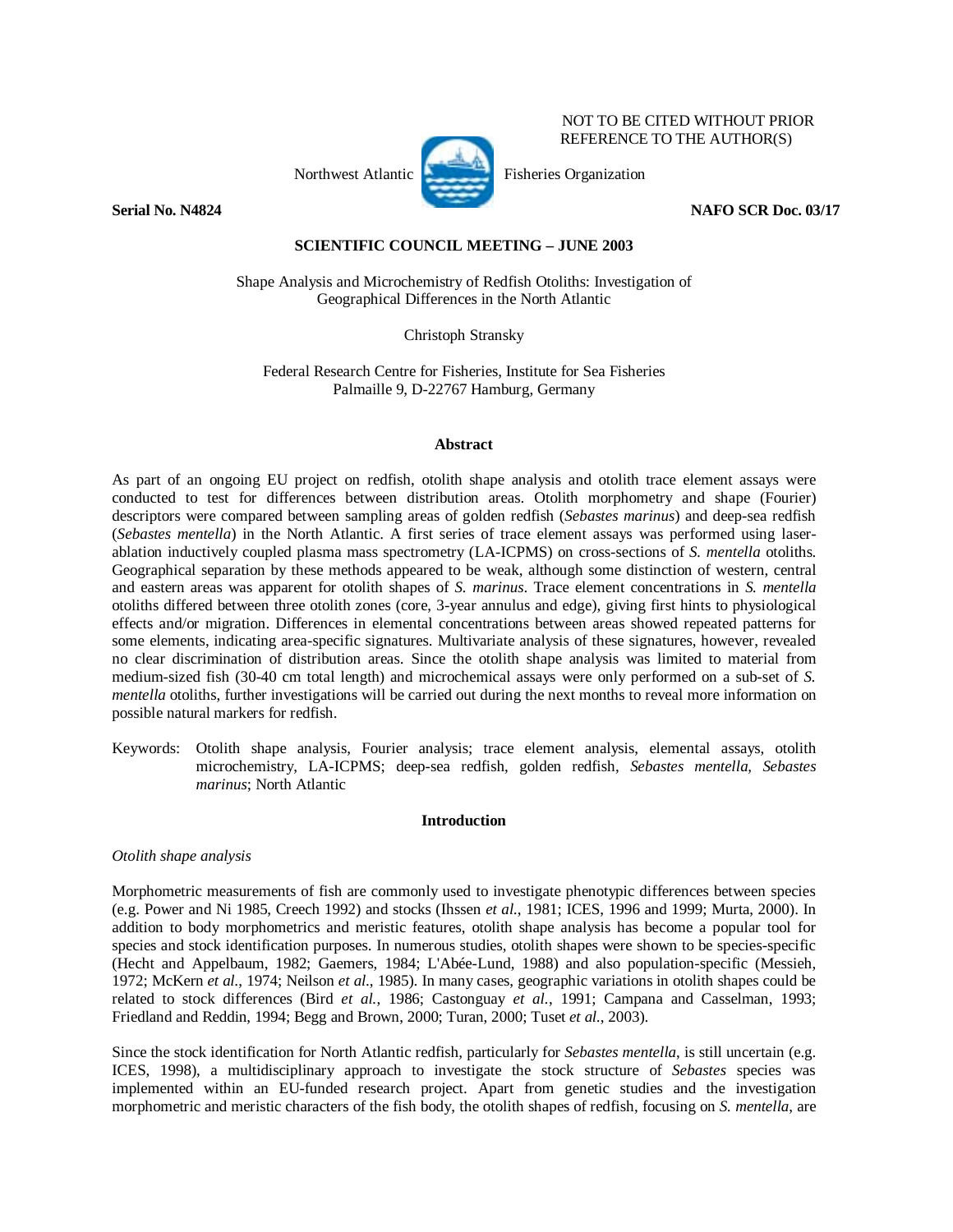

NOT TO BE CITED WITHOUT PRIOR REFERENCE TO THE AUTHOR(S)

**Serial No. N4824** NAFO SCR Doc. 03/17

# **SCIENTIFIC COUNCIL MEETING – JUNE 2003**

Shape Analysis and Microchemistry of Redfish Otoliths: Investigation of Geographical Differences in the North Atlantic

Christoph Stransky

Federal Research Centre for Fisheries, Institute for Sea Fisheries Palmaille 9, D-22767 Hamburg, Germany

## **Abstract**

As part of an ongoing EU project on redfish, otolith shape analysis and otolith trace element assays were conducted to test for differences between distribution areas. Otolith morphometry and shape (Fourier) descriptors were compared between sampling areas of golden redfish (*Sebastes marinus*) and deep-sea redfish (*Sebastes mentella*) in the North Atlantic. A first series of trace element assays was performed using laserablation inductively coupled plasma mass spectrometry (LA-ICPMS) on cross-sections of *S. mentella* otoliths. Geographical separation by these methods appeared to be weak, although some distinction of western, central and eastern areas was apparent for otolith shapes of *S. marinus*. Trace element concentrations in *S. mentella* otoliths differed between three otolith zones (core, 3-year annulus and edge), giving first hints to physiological effects and/or migration. Differences in elemental concentrations between areas showed repeated patterns for some elements, indicating area-specific signatures. Multivariate analysis of these signatures, however, revealed no clear discrimination of distribution areas. Since the otolith shape analysis was limited to material from medium-sized fish (30-40 cm total length) and microchemical assays were only performed on a sub-set of *S. mentella* otoliths, further investigations will be carried out during the next months to reveal more information on possible natural markers for redfish.

Keywords: Otolith shape analysis, Fourier analysis; trace element analysis, elemental assays, otolith microchemistry, LA-ICPMS; deep-sea redfish, golden redfish, *Sebastes mentella, Sebastes marinus*; North Atlantic

## **Introduction**

## *Otolith shape analysis*

Morphometric measurements of fish are commonly used to investigate phenotypic differences between species (e.g. Power and Ni 1985, Creech 1992) and stocks (Ihssen *et al.*, 1981; ICES, 1996 and 1999; Murta, 2000). In addition to body morphometrics and meristic features, otolith shape analysis has become a popular tool for species and stock identification purposes. In numerous studies, otolith shapes were shown to be species-specific (Hecht and Appelbaum, 1982; Gaemers, 1984; L'Abée-Lund, 1988) and also population-specific (Messieh, 1972; McKern *et al.*, 1974; Neilson *et al.*, 1985). In many cases, geographic variations in otolith shapes could be related to stock differences (Bird *et al.*, 1986; Castonguay *et al.*, 1991; Campana and Casselman, 1993; Friedland and Reddin, 1994; Begg and Brown, 2000; Turan, 2000; Tuset *et al.*, 2003).

Since the stock identification for North Atlantic redfish, particularly for *Sebastes mentella*, is still uncertain (e.g. ICES, 1998), a multidisciplinary approach to investigate the stock structure of *Sebastes* species was implemented within an EU-funded research project. Apart from genetic studies and the investigation morphometric and meristic characters of the fish body, the otolith shapes of redfish, focusing on *S. mentella*, are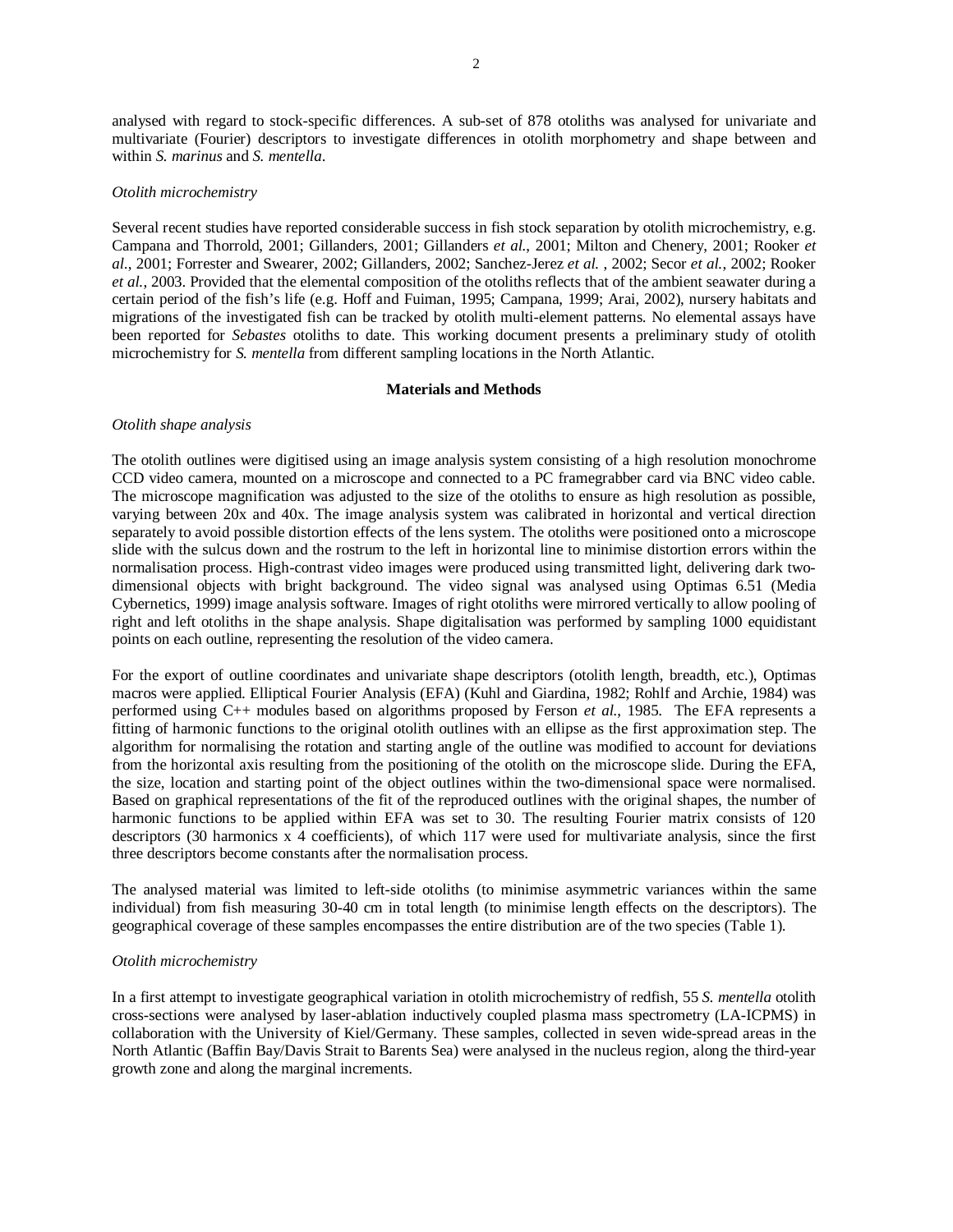analysed with regard to stock-specific differences. A sub-set of 878 otoliths was analysed for univariate and multivariate (Fourier) descriptors to investigate differences in otolith morphometry and shape between and within *S. marinus* and *S. mentella*.

## *Otolith microchemistry*

Several recent studies have reported considerable success in fish stock separation by otolith microchemistry, e.g. Campana and Thorrold, 2001; Gillanders, 2001; Gillanders *et al.*, 2001; Milton and Chenery, 2001; Rooker *et al.*, 2001; Forrester and Swearer, 2002; Gillanders, 2002; Sanchez-Jerez *et al.* , 2002; Secor *et al.*, 2002; Rooker *et al.*, 2003. Provided that the elemental composition of the otoliths reflects that of the ambient seawater during a certain period of the fish's life (e.g. Hoff and Fuiman, 1995; Campana, 1999; Arai, 2002), nursery habitats and migrations of the investigated fish can be tracked by otolith multi-element patterns. No elemental assays have been reported for *Sebastes* otoliths to date. This working document presents a preliminary study of otolith microchemistry for *S. mentella* from different sampling locations in the North Atlantic.

## **Materials and Methods**

## *Otolith shape analysis*

The otolith outlines were digitised using an image analysis system consisting of a high resolution monochrome CCD video camera, mounted on a microscope and connected to a PC framegrabber card via BNC video cable. The microscope magnification was adjusted to the size of the otoliths to ensure as high resolution as possible, varying between 20x and 40x. The image analysis system was calibrated in horizontal and vertical direction separately to avoid possible distortion effects of the lens system. The otoliths were positioned onto a microscope slide with the sulcus down and the rostrum to the left in horizontal line to minimise distortion errors within the normalisation process. High-contrast video images were produced using transmitted light, delivering dark twodimensional objects with bright background. The video signal was analysed using Optimas 6.51 (Media Cybernetics, 1999) image analysis software. Images of right otoliths were mirrored vertically to allow pooling of right and left otoliths in the shape analysis. Shape digitalisation was performed by sampling 1000 equidistant points on each outline, representing the resolution of the video camera.

For the export of outline coordinates and univariate shape descriptors (otolith length, breadth, etc.), Optimas macros were applied. Elliptical Fourier Analysis (EFA) (Kuhl and Giardina, 1982; Rohlf and Archie, 1984) was performed using C++ modules based on algorithms proposed by Ferson *et al.*, 1985. The EFA represents a fitting of harmonic functions to the original otolith outlines with an ellipse as the first approximation step. The algorithm for normalising the rotation and starting angle of the outline was modified to account for deviations from the horizontal axis resulting from the positioning of the otolith on the microscope slide. During the EFA, the size, location and starting point of the object outlines within the two-dimensional space were normalised. Based on graphical representations of the fit of the reproduced outlines with the original shapes, the number of harmonic functions to be applied within EFA was set to 30. The resulting Fourier matrix consists of 120 descriptors (30 harmonics x 4 coefficients), of which 117 were used for multivariate analysis, since the first three descriptors become constants after the normalisation process.

The analysed material was limited to left-side otoliths (to minimise asymmetric variances within the same individual) from fish measuring 30-40 cm in total length (to minimise length effects on the descriptors). The geographical coverage of these samples encompasses the entire distribution are of the two species (Table 1).

### *Otolith microchemistry*

In a first attempt to investigate geographical variation in otolith microchemistry of redfish, 55 *S. mentella* otolith cross-sections were analysed by laser-ablation inductively coupled plasma mass spectrometry (LA-ICPMS) in collaboration with the University of Kiel/Germany. These samples, collected in seven wide-spread areas in the North Atlantic (Baffin Bay/Davis Strait to Barents Sea) were analysed in the nucleus region, along the third-year growth zone and along the marginal increments.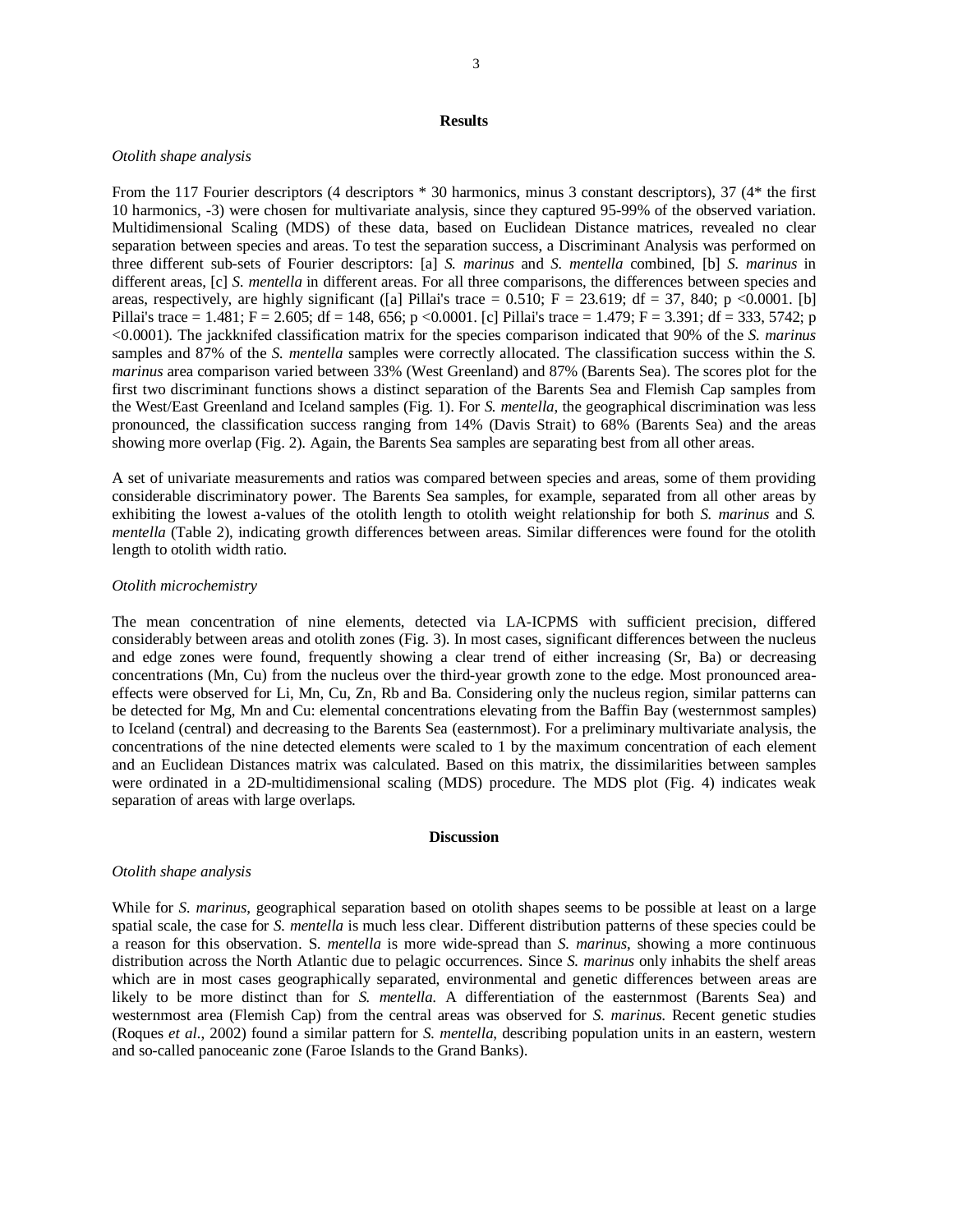## **Results**

## *Otolith shape analysis*

From the 117 Fourier descriptors (4 descriptors \* 30 harmonics, minus 3 constant descriptors), 37 (4\* the first 10 harmonics, -3) were chosen for multivariate analysis, since they captured 95-99% of the observed variation. Multidimensional Scaling (MDS) of these data, based on Euclidean Distance matrices, revealed no clear separation between species and areas. To test the separation success, a Discriminant Analysis was performed on three different sub-sets of Fourier descriptors: [a] *S. marinus* and *S. mentella* combined, [b] *S. marinus* in different areas, [c] *S. mentella* in different areas. For all three comparisons, the differences between species and areas, respectively, are highly significant ([a] Pillai's trace  $= 0.510$ ; F  $= 23.619$ ; df  $= 37$ , 840; p <0.0001. [b] Pillai's trace = 1.481; F = 2.605; df = 148, 656; p <0.0001. [c] Pillai's trace = 1.479; F = 3.391; df = 333, 5742; p <0.0001). The jackknifed classification matrix for the species comparison indicated that 90% of the *S. marinus* samples and 87% of the *S. mentella* samples were correctly allocated. The classification success within the *S. marinus* area comparison varied between 33% (West Greenland) and 87% (Barents Sea). The scores plot for the first two discriminant functions shows a distinct separation of the Barents Sea and Flemish Cap samples from the West/East Greenland and Iceland samples (Fig. 1). For *S. mentella*, the geographical discrimination was less pronounced, the classification success ranging from 14% (Davis Strait) to 68% (Barents Sea) and the areas showing more overlap (Fig. 2). Again, the Barents Sea samples are separating best from all other areas.

A set of univariate measurements and ratios was compared between species and areas, some of them providing considerable discriminatory power. The Barents Sea samples, for example, separated from all other areas by exhibiting the lowest a-values of the otolith length to otolith weight relationship for both *S. marinus* and *S. mentella* (Table 2), indicating growth differences between areas. Similar differences were found for the otolith length to otolith width ratio.

## *Otolith microchemistry*

The mean concentration of nine elements, detected via LA-ICPMS with sufficient precision, differed considerably between areas and otolith zones (Fig. 3). In most cases, significant differences between the nucleus and edge zones were found, frequently showing a clear trend of either increasing (Sr, Ba) or decreasing concentrations (Mn, Cu) from the nucleus over the third-year growth zone to the edge. Most pronounced areaeffects were observed for Li, Mn, Cu, Zn, Rb and Ba. Considering only the nucleus region, similar patterns can be detected for Mg, Mn and Cu: elemental concentrations elevating from the Baffin Bay (westernmost samples) to Iceland (central) and decreasing to the Barents Sea (easternmost). For a preliminary multivariate analysis, the concentrations of the nine detected elements were scaled to 1 by the maximum concentration of each element and an Euclidean Distances matrix was calculated. Based on this matrix, the dissimilarities between samples were ordinated in a 2D-multidimensional scaling (MDS) procedure. The MDS plot (Fig. 4) indicates weak separation of areas with large overlaps.

#### **Discussion**

### *Otolith shape analysis*

While for *S. marinus*, geographical separation based on otolith shapes seems to be possible at least on a large spatial scale, the case for *S. mentella* is much less clear. Different distribution patterns of these species could be a reason for this observation. S. *mentella* is more wide-spread than *S. marinus*, showing a more continuous distribution across the North Atlantic due to pelagic occurrences. Since *S. marinus* only inhabits the shelf areas which are in most cases geographically separated, environmental and genetic differences between areas are likely to be more distinct than for *S. mentella*. A differentiation of the easternmost (Barents Sea) and westernmost area (Flemish Cap) from the central areas was observed for *S. marinus*. Recent genetic studies (Roques *et al.*, 2002) found a similar pattern for *S. mentella*, describing population units in an eastern, western and so-called panoceanic zone (Faroe Islands to the Grand Banks).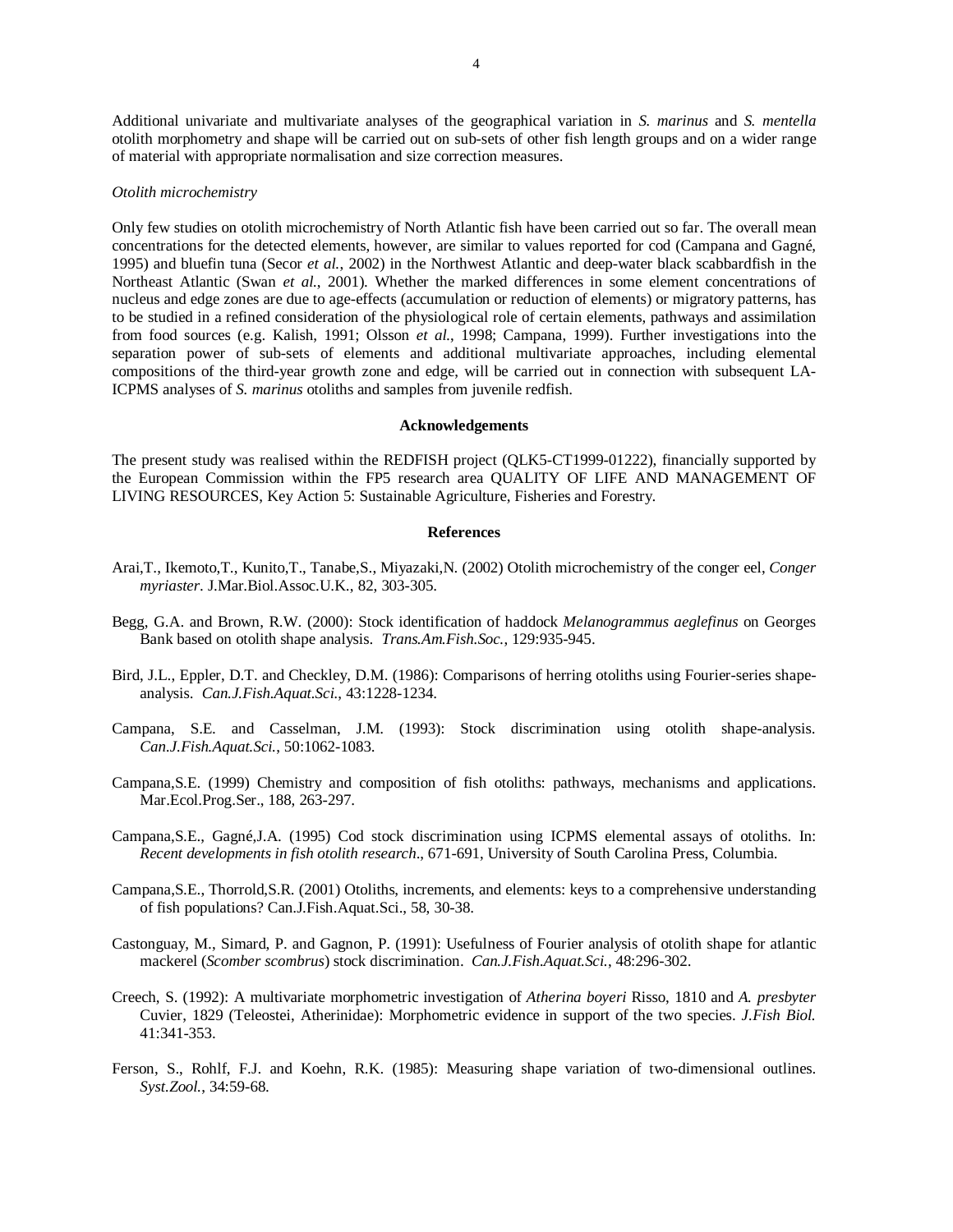Additional univariate and multivariate analyses of the geographical variation in *S. marinus* and *S. mentella* otolith morphometry and shape will be carried out on sub-sets of other fish length groups and on a wider range of material with appropriate normalisation and size correction measures.

### *Otolith microchemistry*

Only few studies on otolith microchemistry of North Atlantic fish have been carried out so far. The overall mean concentrations for the detected elements, however, are similar to values reported for cod (Campana and Gagné, 1995) and bluefin tuna (Secor *et al.*, 2002) in the Northwest Atlantic and deep-water black scabbardfish in the Northeast Atlantic (Swan *et al.*, 2001). Whether the marked differences in some element concentrations of nucleus and edge zones are due to age-effects (accumulation or reduction of elements) or migratory patterns, has to be studied in a refined consideration of the physiological role of certain elements, pathways and assimilation from food sources (e.g. Kalish, 1991; Olsson *et al.*, 1998; Campana, 1999). Further investigations into the separation power of sub-sets of elements and additional multivariate approaches, including elemental compositions of the third-year growth zone and edge, will be carried out in connection with subsequent LA-ICPMS analyses of *S. marinus* otoliths and samples from juvenile redfish.

#### **Acknowledgements**

The present study was realised within the REDFISH project (QLK5-CT1999-01222), financially supported by the European Commission within the FP5 research area QUALITY OF LIFE AND MANAGEMENT OF LIVING RESOURCES, Key Action 5: Sustainable Agriculture, Fisheries and Forestry.

#### **References**

- Arai,T., Ikemoto,T., Kunito,T., Tanabe,S., Miyazaki,N. (2002) Otolith microchemistry of the conger eel, *Conger myriaster*. J.Mar.Biol.Assoc.U.K., 82, 303-305.
- Begg, G.A. and Brown, R.W. (2000): Stock identification of haddock *Melanogrammus aeglefinus* on Georges Bank based on otolith shape analysis. *Trans.Am.Fish.Soc.*, 129:935-945.
- Bird, J.L., Eppler, D.T. and Checkley, D.M. (1986): Comparisons of herring otoliths using Fourier-series shapeanalysis. *Can.J.Fish.Aquat.Sci.*, 43:1228-1234.
- Campana, S.E. and Casselman, J.M. (1993): Stock discrimination using otolith shape-analysis. *Can.J.Fish.Aquat.Sci.*, 50:1062-1083.
- Campana,S.E. (1999) Chemistry and composition of fish otoliths: pathways, mechanisms and applications. Mar.Ecol.Prog.Ser., 188, 263-297.
- Campana,S.E., Gagné,J.A. (1995) Cod stock discrimination using ICPMS elemental assays of otoliths. In: *Recent developments in fish otolith research*., 671-691, University of South Carolina Press, Columbia.
- Campana,S.E., Thorrold,S.R. (2001) Otoliths, increments, and elements: keys to a comprehensive understanding of fish populations? Can.J.Fish.Aquat.Sci., 58, 30-38.
- Castonguay, M., Simard, P. and Gagnon, P. (1991): Usefulness of Fourier analysis of otolith shape for atlantic mackerel (*Scomber scombrus*) stock discrimination. *Can.J.Fish.Aquat.Sci.*, 48:296-302.
- Creech, S. (1992): A multivariate morphometric investigation of *Atherina boyeri* Risso, 1810 and *A. presbyter* Cuvier, 1829 (Teleostei, Atherinidae): Morphometric evidence in support of the two species. *J.Fish Biol.* 41:341-353.
- Ferson, S., Rohlf, F.J. and Koehn, R.K. (1985): Measuring shape variation of two-dimensional outlines. *Syst.Zool.*, 34:59-68.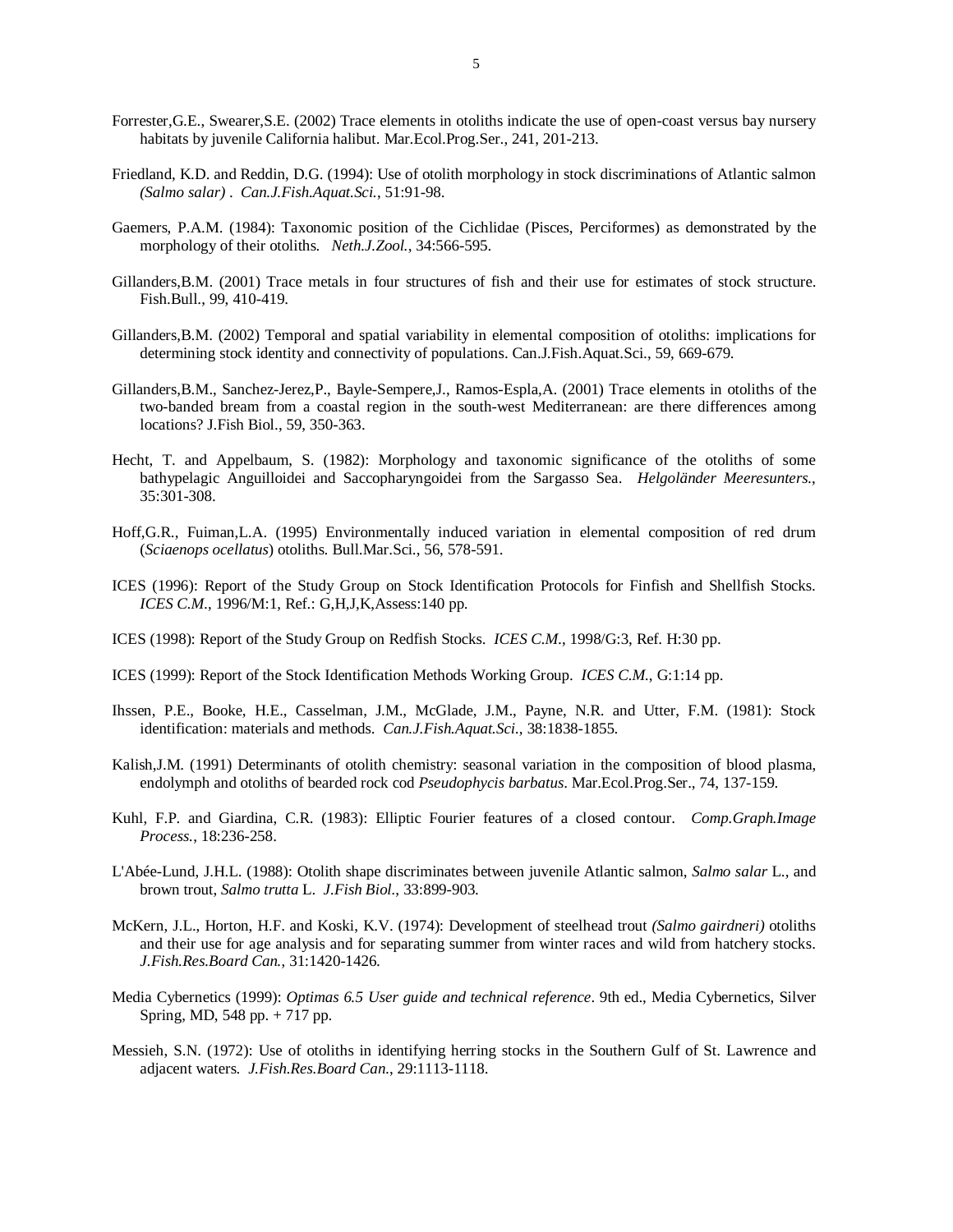- Forrester,G.E., Swearer,S.E. (2002) Trace elements in otoliths indicate the use of open-coast versus bay nursery habitats by juvenile California halibut. Mar.Ecol.Prog.Ser., 241, 201-213.
- Friedland, K.D. and Reddin, D.G. (1994): Use of otolith morphology in stock discriminations of Atlantic salmon *(Salmo salar)* . *Can.J.Fish.Aquat.Sci.*, 51:91-98.
- Gaemers, P.A.M. (1984): Taxonomic position of the Cichlidae (Pisces, Perciformes) as demonstrated by the morphology of their otoliths. *Neth.J.Zool.*, 34:566-595.
- Gillanders,B.M. (2001) Trace metals in four structures of fish and their use for estimates of stock structure. Fish.Bull., 99, 410-419.
- Gillanders,B.M. (2002) Temporal and spatial variability in elemental composition of otoliths: implications for determining stock identity and connectivity of populations. Can.J.Fish.Aquat.Sci., 59, 669-679.
- Gillanders,B.M., Sanchez-Jerez,P., Bayle-Sempere,J., Ramos-Espla,A. (2001) Trace elements in otoliths of the two-banded bream from a coastal region in the south-west Mediterranean: are there differences among locations? J.Fish Biol., 59, 350-363.
- Hecht, T. and Appelbaum, S. (1982): Morphology and taxonomic significance of the otoliths of some bathypelagic Anguilloidei and Saccopharyngoidei from the Sargasso Sea. *Helgoländer Meeresunters.*, 35:301-308.
- Hoff,G.R., Fuiman,L.A. (1995) Environmentally induced variation in elemental composition of red drum (*Sciaenops ocellatus*) otoliths. Bull.Mar.Sci., 56, 578-591.
- ICES (1996): Report of the Study Group on Stock Identification Protocols for Finfish and Shellfish Stocks. *ICES C.M.*, 1996/M:1, Ref.: G,H,J,K,Assess:140 pp.
- ICES (1998): Report of the Study Group on Redfish Stocks. *ICES C.M.*, 1998/G:3, Ref. H:30 pp.
- ICES (1999): Report of the Stock Identification Methods Working Group. *ICES C.M.*, G:1:14 pp.
- Ihssen, P.E., Booke, H.E., Casselman, J.M., McGlade, J.M., Payne, N.R. and Utter, F.M. (1981): Stock identification: materials and methods. *Can.J.Fish.Aquat.Sci.*, 38:1838-1855.
- Kalish,J.M. (1991) Determinants of otolith chemistry: seasonal variation in the composition of blood plasma, endolymph and otoliths of bearded rock cod *Pseudophycis barbatus*. Mar.Ecol.Prog.Ser., 74, 137-159.
- Kuhl, F.P. and Giardina, C.R. (1983): Elliptic Fourier features of a closed contour. *Comp.Graph.Image Process.*, 18:236-258.
- L'Abée-Lund, J.H.L. (1988): Otolith shape discriminates between juvenile Atlantic salmon, *Salmo salar* L., and brown trout, *Salmo trutta* L. *J.Fish Biol.*, 33:899-903.
- McKern, J.L., Horton, H.F. and Koski, K.V. (1974): Development of steelhead trout *(Salmo gairdneri)* otoliths and their use for age analysis and for separating summer from winter races and wild from hatchery stocks. *J.Fish.Res.Board Can.*, 31:1420-1426.
- Media Cybernetics (1999): *Optimas 6.5 User guide and technical reference*. 9th ed., Media Cybernetics, Silver Spring, MD, 548 pp. + 717 pp.
- Messieh, S.N. (1972): Use of otoliths in identifying herring stocks in the Southern Gulf of St. Lawrence and adjacent waters. *J.Fish.Res.Board Can.*, 29:1113-1118.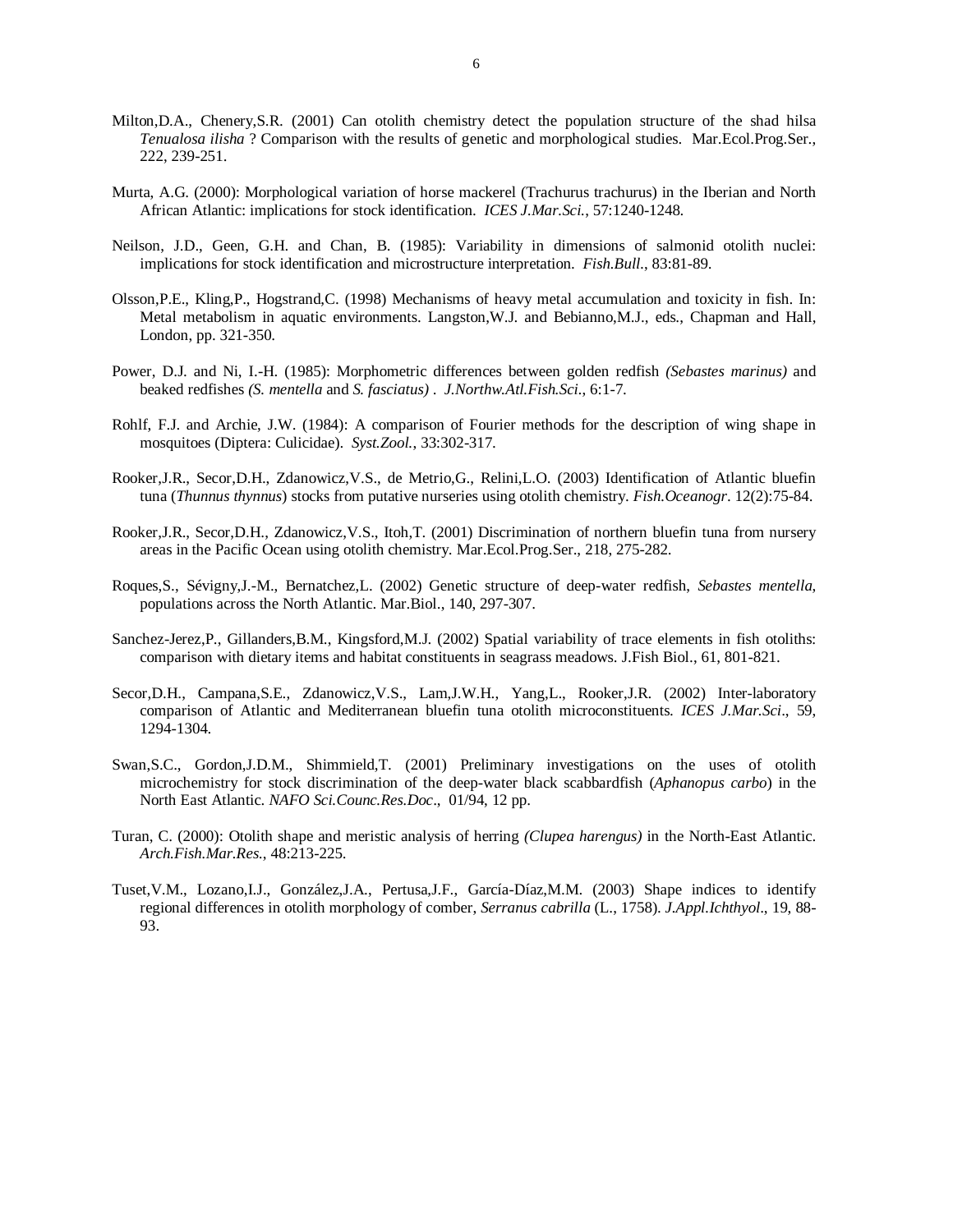- Milton,D.A., Chenery,S.R. (2001) Can otolith chemistry detect the population structure of the shad hilsa *Tenualosa ilisha* ? Comparison with the results of genetic and morphological studies. Mar.Ecol.Prog.Ser., 222, 239-251.
- Murta, A.G. (2000): Morphological variation of horse mackerel (Trachurus trachurus) in the Iberian and North African Atlantic: implications for stock identification. *ICES J.Mar.Sci.*, 57:1240-1248.
- Neilson, J.D., Geen, G.H. and Chan, B. (1985): Variability in dimensions of salmonid otolith nuclei: implications for stock identification and microstructure interpretation. *Fish.Bull.*, 83:81-89.
- Olsson,P.E., Kling,P., Hogstrand,C. (1998) Mechanisms of heavy metal accumulation and toxicity in fish. In: Metal metabolism in aquatic environments. Langston,W.J. and Bebianno,M.J., eds., Chapman and Hall, London, pp. 321-350.
- Power, D.J. and Ni, I.-H. (1985): Morphometric differences between golden redfish *(Sebastes marinus)* and beaked redfishes *(S. mentella* and *S. fasciatus)* . *J.Northw.Atl.Fish.Sci.*, 6:1-7.
- Rohlf, F.J. and Archie, J.W. (1984): A comparison of Fourier methods for the description of wing shape in mosquitoes (Diptera: Culicidae). *Syst.Zool.*, 33:302-317.
- Rooker,J.R., Secor,D.H., Zdanowicz,V.S., de Metrio,G., Relini,L.O. (2003) Identification of Atlantic bluefin tuna (*Thunnus thynnus*) stocks from putative nurseries using otolith chemistry. *Fish.Oceanogr*. 12(2):75-84.
- Rooker,J.R., Secor,D.H., Zdanowicz,V.S., Itoh,T. (2001) Discrimination of northern bluefin tuna from nursery areas in the Pacific Ocean using otolith chemistry. Mar.Ecol.Prog.Ser., 218, 275-282.
- Roques,S., Sévigny,J.-M., Bernatchez,L. (2002) Genetic structure of deep-water redfish, *Sebastes mentella*, populations across the North Atlantic. Mar.Biol., 140, 297-307.
- Sanchez-Jerez,P., Gillanders,B.M., Kingsford,M.J. (2002) Spatial variability of trace elements in fish otoliths: comparison with dietary items and habitat constituents in seagrass meadows. J.Fish Biol., 61, 801-821.
- Secor,D.H., Campana,S.E., Zdanowicz,V.S., Lam,J.W.H., Yang,L., Rooker,J.R. (2002) Inter-laboratory comparison of Atlantic and Mediterranean bluefin tuna otolith microconstituents. *ICES J.Mar.Sci*., 59, 1294-1304.
- Swan,S.C., Gordon,J.D.M., Shimmield,T. (2001) Preliminary investigations on the uses of otolith microchemistry for stock discrimination of the deep-water black scabbardfish (*Aphanopus carbo*) in the North East Atlantic. *NAFO Sci.Counc.Res.Doc*., 01/94, 12 pp.
- Turan, C. (2000): Otolith shape and meristic analysis of herring *(Clupea harengus)* in the North-East Atlantic. *Arch.Fish.Mar.Res.*, 48:213-225.
- Tuset,V.M., Lozano,I.J., González,J.A., Pertusa,J.F., García-Díaz,M.M. (2003) Shape indices to identify regional differences in otolith morphology of comber, *Serranus cabrilla* (L., 1758). *J.Appl.Ichthyol*., 19, 88- 93.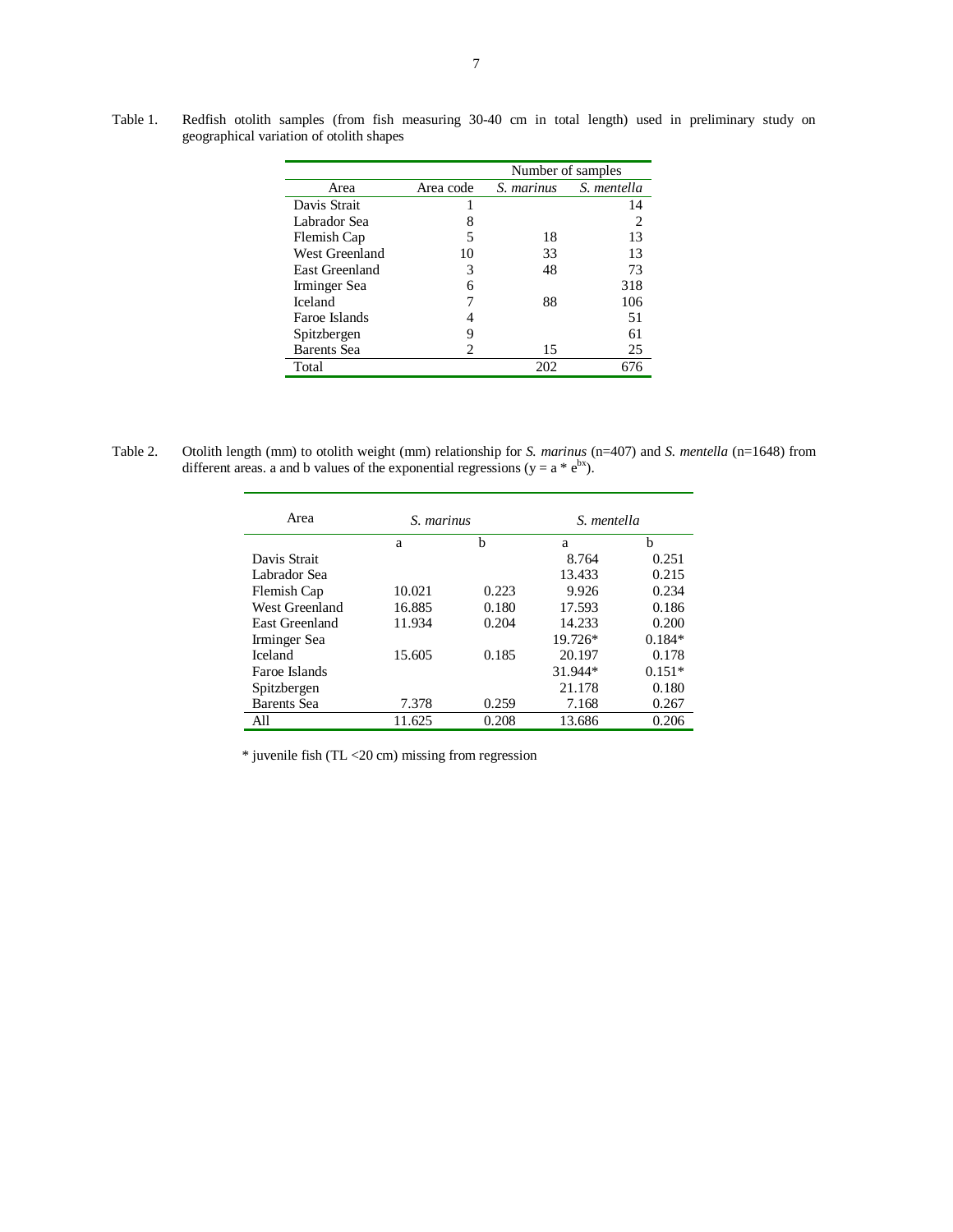|                    |           | Number of samples |             |  |
|--------------------|-----------|-------------------|-------------|--|
| Area               | Area code | S. marinus        | S. mentella |  |
| Davis Strait       |           |                   | 14          |  |
| Labrador Sea       | 8         |                   | 2           |  |
| Flemish Cap        |           | 18                | 13          |  |
| West Greenland     | 10        | 33                | 13          |  |
| East Greenland     | 3         | 48                | 73          |  |
| Irminger Sea       | 6         |                   | 318         |  |
| Iceland            |           | 88                | 106         |  |
| Faroe Islands      |           |                   | 51          |  |
| Spitzbergen        | Q         |                   | 61          |  |
| <b>Barents</b> Sea |           | 15                | 25          |  |
| Total              |           | 202               | 676         |  |

Table 1. Redfish otolith samples (from fish measuring 30-40 cm in total length) used in preliminary study on geographical variation of otolith shapes

Table 2. Otolith length (mm) to otolith weight (mm) relationship for *S. marinus* (n=407) and *S. mentella* (n=1648) from different areas. a and b values of the exponential regressions ( $y = a * e^{bx}$ ).

| Area                  | S. marinus |       | S. mentella |          |
|-----------------------|------------|-------|-------------|----------|
|                       | a          | b     | a           | b        |
| Davis Strait          |            |       | 8.764       | 0.251    |
| Labrador Sea          |            |       | 13.433      | 0.215    |
| Flemish Cap           | 10.021     | 0.223 | 9.926       | 0.234    |
| West Greenland        | 16.885     | 0.180 | 17.593      | 0.186    |
| <b>East Greenland</b> | 11.934     | 0.204 | 14.233      | 0.200    |
| Irminger Sea          |            |       | $19.726*$   | $0.184*$ |
| <b>Iceland</b>        | 15.605     | 0.185 | 20.197      | 0.178    |
| Faroe Islands         |            |       | 31.944*     | $0.151*$ |
| Spitzbergen           |            |       | 21.178      | 0.180    |
| <b>Barents</b> Sea    | 7.378      | 0.259 | 7.168       | 0.267    |
| All                   | 11.625     | 0.208 | 13.686      | 0.206    |

\* juvenile fish (TL <20 cm) missing from regression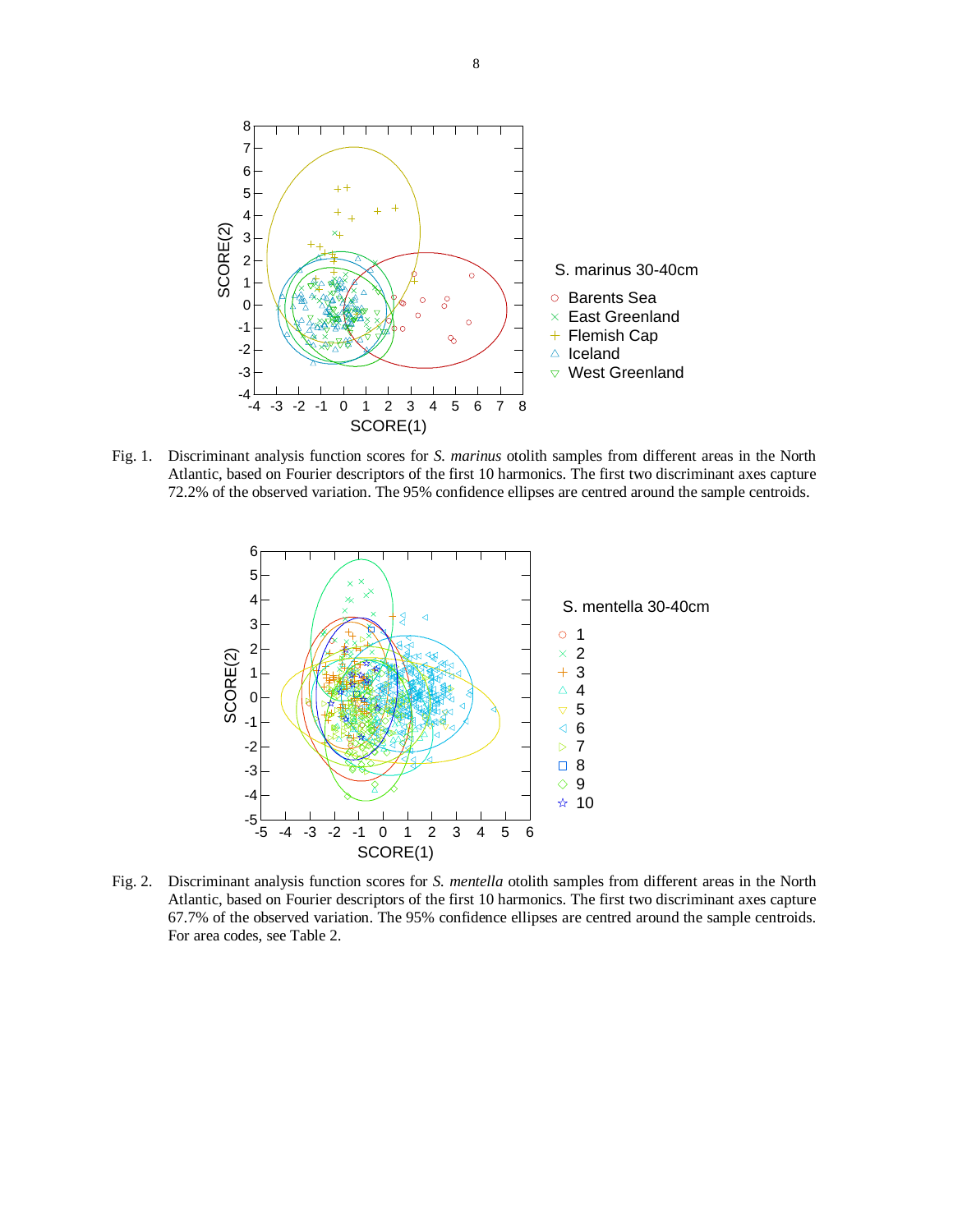

Fig. 1. Discriminant analysis function scores for *S. marinus* otolith samples from different areas in the North Atlantic, based on Fourier descriptors of the first 10 harmonics. The first two discriminant axes capture 72.2% of the observed variation. The 95% confidence ellipses are centred around the sample centroids.



Fig. 2. Discriminant analysis function scores for *S. mentella* otolith samples from different areas in the North Atlantic, based on Fourier descriptors of the first 10 harmonics. The first two discriminant axes capture 67.7% of the observed variation. The 95% confidence ellipses are centred around the sample centroids. For area codes, see Table 2.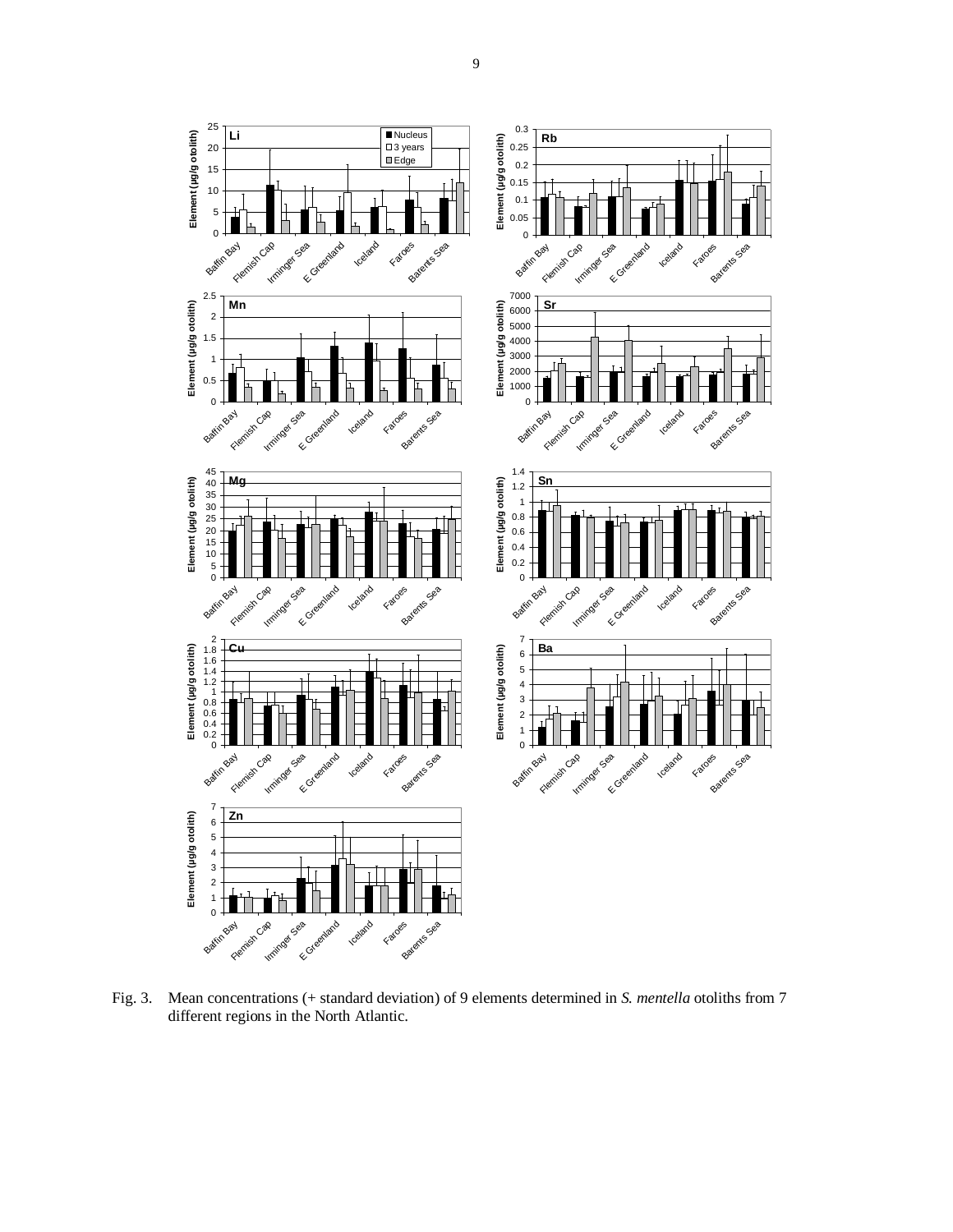

Fig. 3. Mean concentrations (+ standard deviation) of 9 elements determined in *S. mentella* otoliths from 7 different regions in the North Atlantic.